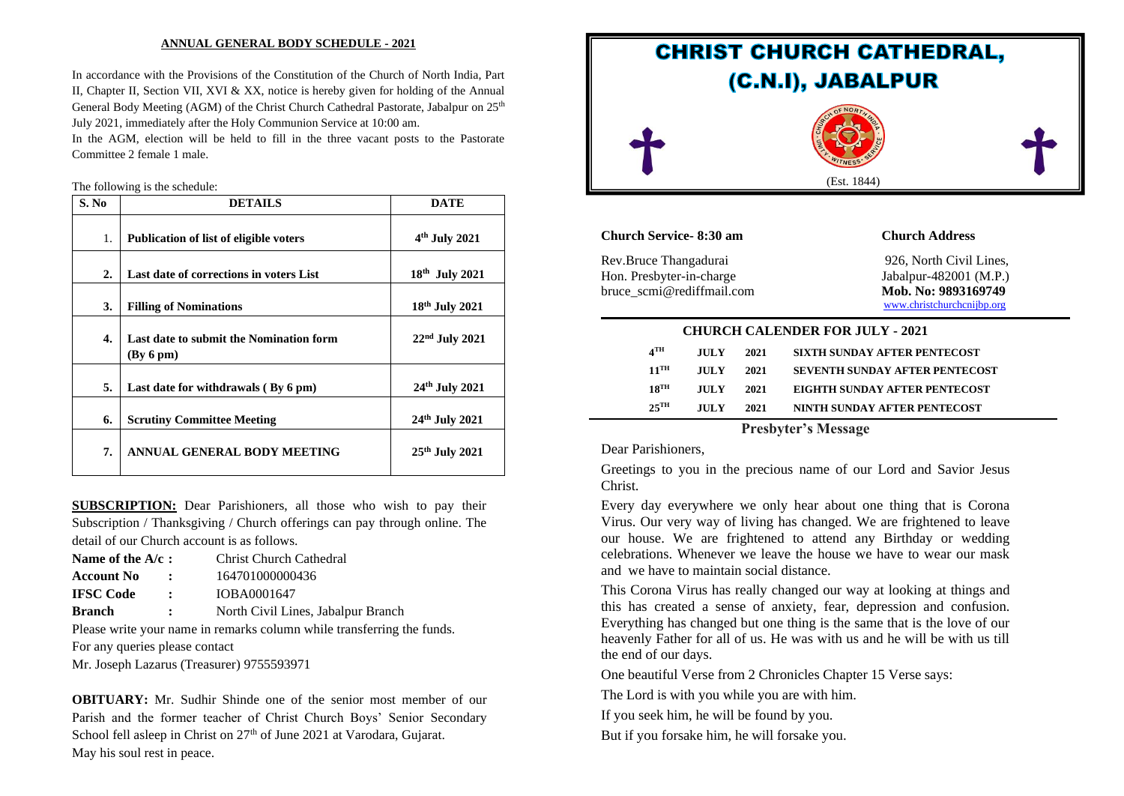#### **ANNUAL GENERAL BODY SCHEDULE - 2021**

In accordance with the Provisions of the Constitution of the Church of North India, Part II, Chapter II, Section VII, XVI & XX, notice is hereby given for holding of the Annual General Body Meeting (AGM) of the Christ Church Cathedral Pastorate, Jabalpur on  $25<sup>th</sup>$ July 2021, immediately after the Holy Communion Service at 10:00 am.

In the AGM, election will be held to fill in the three vacant posts to the Pastorate Committee 2 female 1 male.

The following is the schedule:

| S. No            | <b>DETAILS</b>                                      | <b>DATE</b>                |
|------------------|-----------------------------------------------------|----------------------------|
| 1.               | <b>Publication of list of eligible voters</b>       | $4th$ July 2021            |
| $\overline{2}$ . | Last date of corrections in voters List             | $18th$ July 2021           |
| 3.               | <b>Filling of Nominations</b>                       | $18th$ July 2021           |
| 4.               | Last date to submit the Nomination form<br>By 6 pm) | $22nd$ July 2021           |
| 5.               | Last date for withdrawals (By 6 pm)                 | 24 <sup>th</sup> July 2021 |
| 6.               | <b>Scrutiny Committee Meeting</b>                   | 24 <sup>th</sup> July 2021 |
| 7.               | ANNUAL GENERAL BODY MEETING                         | $25th$ July 2021           |

**SUBSCRIPTION:** Dear Parishioners, all those who wish to pay their Subscription / Thanksgiving / Church offerings can pay through online. The detail of our Church account is as follows.

| Name of the $A/c$ : |                      | Christ Church Cathedral |
|---------------------|----------------------|-------------------------|
| <b>Account No</b>   |                      | 164701000000436         |
| <b>IFSC Code</b>    | $\ddot{\phantom{a}}$ | IOBA0001647             |

**Branch :** North Civil Lines, Jabalpur Branch

Please write your name in remarks column while transferring the funds.

For any queries please contact

Mr. Joseph Lazarus (Treasurer) 9755593971

**OBITUARY:** Mr. Sudhir Shinde one of the senior most member of our Parish and the former teacher of Christ Church Boys' Senior Secondary School fell asleep in Christ on  $27<sup>th</sup>$  of June 2021 at Varodara, Gujarat. May his soul rest in peace.



## **Church Service- 8:30 am Church Address**

Rev.Bruce Thangadurai 926, North Civil Lines, Hon. Presbyter-in-charge Jabalpur-482001 (M.P.) bruce scmi@rediffmail.com Mob. No: 9893169749

[www.christchurchcnijbp.org](http://www.christchurchcnijbp.org/)

| <b>CHURCH CALENDER FOR JULY - 2021</b> |             |      |                                       |  |  |
|----------------------------------------|-------------|------|---------------------------------------|--|--|
| $4^{\text{TH}}$                        | <b>JULY</b> | 2021 | SIXTH SUNDAY AFTER PENTECOST          |  |  |
| $11$ <sup>TH</sup>                     | <b>JULY</b> | 2021 | <b>SEVENTH SUNDAY AFTER PENTECOST</b> |  |  |
| $18$ <sup>TH</sup>                     | <b>JULY</b> | 2021 | EIGHTH SUNDAY AFTER PENTECOST         |  |  |
| $25$ <sup>TH</sup>                     | <b>HILY</b> | 2021 | NINTH SUNDAY AFTER PENTECOST          |  |  |

### **Presbyter's Message**

Dear Parishioners,

Greetings to you in the precious name of our Lord and Savior Jesus Christ.

Every day everywhere we only hear about one thing that is Corona Virus. Our very way of living has changed. We are frightened to leave our house. We are frightened to attend any Birthday or wedding celebrations. Whenever we leave the house we have to wear our mask and we have to maintain social distance.

This Corona Virus has really changed our way at looking at things and this has created a sense of anxiety, fear, depression and confusion. Everything has changed but one thing is the same that is the love of our heavenly Father for all of us. He was with us and he will be with us till the end of our days.

One beautiful Verse from 2 Chronicles Chapter 15 Verse says:

The Lord is with you while you are with him.

If you seek him, he will be found by you.

But if you forsake him, he will forsake you.